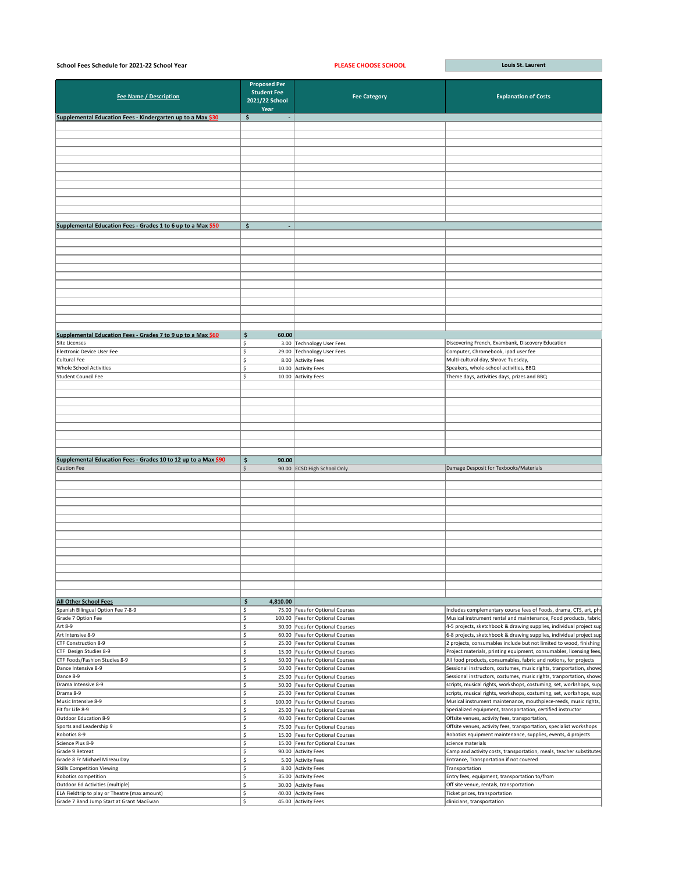| School Fees Schedule for 2021-22 School Year                                  |                                                                     | <b>PLEASE CHOOSE SCHOOL</b>                                            | Louis St. Laurent                                                                                                                         |
|-------------------------------------------------------------------------------|---------------------------------------------------------------------|------------------------------------------------------------------------|-------------------------------------------------------------------------------------------------------------------------------------------|
| <b>Fee Name / Description</b>                                                 | <b>Proposed Per</b><br><b>Student Fee</b><br>2021/22 School<br>Year | <b>Fee Category</b>                                                    | <b>Explanation of Costs</b>                                                                                                               |
| Supplemental Education Fees - Kindergarten up to a Max \$30                   | \$                                                                  |                                                                        |                                                                                                                                           |
|                                                                               |                                                                     |                                                                        |                                                                                                                                           |
|                                                                               |                                                                     |                                                                        |                                                                                                                                           |
|                                                                               |                                                                     |                                                                        |                                                                                                                                           |
|                                                                               |                                                                     |                                                                        |                                                                                                                                           |
|                                                                               |                                                                     |                                                                        |                                                                                                                                           |
|                                                                               |                                                                     |                                                                        |                                                                                                                                           |
|                                                                               |                                                                     |                                                                        |                                                                                                                                           |
|                                                                               |                                                                     |                                                                        |                                                                                                                                           |
|                                                                               |                                                                     |                                                                        |                                                                                                                                           |
| Supplemental Education Fees - Grades 1 to 6 up to a Max \$50                  | $\frac{1}{2}$<br>$\blacksquare$                                     |                                                                        |                                                                                                                                           |
|                                                                               |                                                                     |                                                                        |                                                                                                                                           |
|                                                                               |                                                                     |                                                                        |                                                                                                                                           |
|                                                                               |                                                                     |                                                                        |                                                                                                                                           |
|                                                                               |                                                                     |                                                                        |                                                                                                                                           |
|                                                                               |                                                                     |                                                                        |                                                                                                                                           |
|                                                                               |                                                                     |                                                                        |                                                                                                                                           |
|                                                                               |                                                                     |                                                                        |                                                                                                                                           |
|                                                                               |                                                                     |                                                                        |                                                                                                                                           |
|                                                                               |                                                                     |                                                                        |                                                                                                                                           |
| Supplemental Education Fees - Grades 7 to 9 up to a Max \$60<br>Site Licenses | \$<br>60.00<br>Ś.                                                   |                                                                        | Discovering French, Exambank, Discovery Education                                                                                         |
| Electronic Device User Fee                                                    | Ś.                                                                  | 3.00 Technology User Fees<br>29.00 Technology User Fees                | Computer, Chromebook, ipad user fee                                                                                                       |
| Cultural Fee                                                                  |                                                                     | 8.00 Activity Fees                                                     | Multi-cultural day, Shrove Tuesday,                                                                                                       |
| <b>Whole School Activities</b>                                                |                                                                     | 10.00 Activity Fees                                                    | Speakers, whole-school activities, BBQ                                                                                                    |
| Student Council Fee                                                           |                                                                     | 10.00 Activity Fees                                                    | Theme days, activities days, prizes and BBQ                                                                                               |
|                                                                               |                                                                     |                                                                        |                                                                                                                                           |
|                                                                               |                                                                     |                                                                        |                                                                                                                                           |
|                                                                               |                                                                     |                                                                        |                                                                                                                                           |
|                                                                               |                                                                     |                                                                        |                                                                                                                                           |
|                                                                               |                                                                     |                                                                        |                                                                                                                                           |
|                                                                               |                                                                     |                                                                        |                                                                                                                                           |
| Supplemental Education Fees - Grades 10 to 12 up to a Max \$90                | \$<br>90.00                                                         |                                                                        |                                                                                                                                           |
| <b>Caution Fee</b>                                                            | Ŝ.                                                                  | 90.00 ECSD High School Only                                            | Damage Desposit for Texbooks/Materials                                                                                                    |
|                                                                               |                                                                     |                                                                        |                                                                                                                                           |
|                                                                               |                                                                     |                                                                        |                                                                                                                                           |
|                                                                               |                                                                     |                                                                        |                                                                                                                                           |
|                                                                               |                                                                     |                                                                        |                                                                                                                                           |
|                                                                               |                                                                     |                                                                        |                                                                                                                                           |
|                                                                               |                                                                     |                                                                        |                                                                                                                                           |
|                                                                               |                                                                     |                                                                        |                                                                                                                                           |
|                                                                               |                                                                     |                                                                        |                                                                                                                                           |
|                                                                               |                                                                     |                                                                        |                                                                                                                                           |
|                                                                               |                                                                     |                                                                        |                                                                                                                                           |
|                                                                               |                                                                     |                                                                        |                                                                                                                                           |
|                                                                               |                                                                     |                                                                        |                                                                                                                                           |
| <b>All Other School Fees</b>                                                  | \$<br>4,810.00                                                      |                                                                        |                                                                                                                                           |
| Spanish Bilingual Option Fee 7-8-9<br>Grade 7 Option Fee                      | Š.<br>Ŝ.                                                            | 75.00 Fees for Optional Courses<br>100.00   Fees for Optional Courses  | Includes complementary course fees of Foods, drama, CTS, art, pho<br>Musical instrument rental and maintenance, Food products, fabric     |
| Art 8-9                                                                       |                                                                     | 30.00   Fees for Optional Courses                                      | $\vert$ 4-5 projects, sketchbook & drawing supplies, individual project sup                                                               |
| Art Intensive 8-9                                                             | Ŝ.                                                                  | 60.00 Fees for Optional Courses                                        | 6-8 projects, sketchbook & drawing supplies, individual project sup                                                                       |
| CTF Construction 8-9                                                          |                                                                     | 25.00 Fees for Optional Courses                                        | 2 projects, consumables include but not limited to wood, finishing                                                                        |
| CTF Design Studies 8-9<br>CTF Foods/Fashion Studies 8-9                       | $\zeta$                                                             | 15.00 Fees for Optional Courses<br>50.00 Fees for Optional Courses     | Project materials, printing equipment, consumables, licensing fees,<br>All food products, consumables, fabric and notions, for projects   |
| Dance Intensive 8-9                                                           |                                                                     | 50.00   Fees for Optional Courses                                      | Sessional instructors, costumes, music rights, tranportation, showd                                                                       |
| Dance 8-9                                                                     | \$                                                                  | 25.00   Fees for Optional Courses                                      | Sessional instructors, costumes, music rights, tranportation, showd                                                                       |
| Drama Intensive 8-9<br>Drama 8-9                                              |                                                                     | 50.00 Fees for Optional Courses<br>25.00   Fees for Optional Courses   | scripts, musical rights, workshops, costuming, set, workshops, supp<br>scripts, musical rights, workshops, costuming, set, workshops, sup |
| Music Intensive 8-9                                                           |                                                                     | 100.00   Fees for Optional Courses                                     | Musical instrument maintenance, mouthpiece-reeds, music rights,                                                                           |
| Fit for Life 8-9                                                              |                                                                     | 25.00   Fees for Optional Courses                                      | Specialized equipment, transportation, certified instructor                                                                               |
| Outdoor Education 8-9                                                         |                                                                     | 40.00 Fees for Optional Courses                                        | Offsite venues, activity fees, transportation,                                                                                            |
| Sports and Leadership 9<br>Robotics 8-9                                       | Ŝ.                                                                  | 75.00   Fees for Optional Courses                                      | Offsite venues, activity fees, transportation, specialist workshops                                                                       |
| Science Plus 8-9                                                              |                                                                     | 15.00   Fees for Optional Courses<br>15.00   Fees for Optional Courses | Robotics equipment maintenance, supplies, events, 4 projects<br>science materials                                                         |
| Grade 9 Retreat                                                               | Ŝ.                                                                  | 90.00 Activity Fees                                                    | Camp and activity costs, transportation, meals, teacher substitutes                                                                       |
| Grade 8 Fr Michael Mireau Day                                                 | \$                                                                  | 5.00 Activity Fees                                                     | Entrance, Transportation if not covered                                                                                                   |
| Skills Competition Viewing<br>Robotics competition                            | Ŝ.                                                                  | 8.00 Activity Fees<br>35.00 Activity Fees                              | Transportation<br>Entry fees, equipment, transportation to/from                                                                           |
| Outdoor Ed Activities (multiple)                                              |                                                                     | 30.00 Activity Fees                                                    | Off site venue, rentals, transportation                                                                                                   |
| ELA Fieldtrip to play or Theatre (max amount)                                 | \$                                                                  | 40.00 Activity Fees                                                    | Ticket prices, transportation                                                                                                             |
| Grade 7 Band Jump Start at Grant MacEwan                                      | \$                                                                  | 45.00 Activity Fees                                                    | clinicians, transportation                                                                                                                |